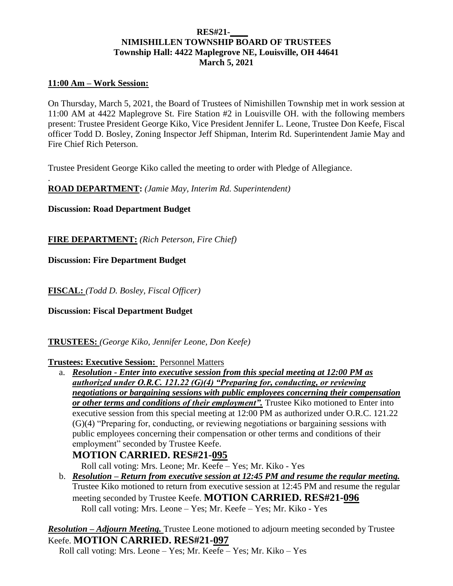## **RES#21-\_\_\_\_ NIMISHILLEN TOWNSHIP BOARD OF TRUSTEES Township Hall: 4422 Maplegrove NE, Louisville, OH 44641 March 5, 2021**

## **11:00 Am – Work Session:**

.

On Thursday, March 5, 2021, the Board of Trustees of Nimishillen Township met in work session at 11:00 AM at 4422 Maplegrove St. Fire Station #2 in Louisville OH. with the following members present: Trustee President George Kiko, Vice President Jennifer L. Leone, Trustee Don Keefe, Fiscal officer Todd D. Bosley, Zoning Inspector Jeff Shipman, Interim Rd. Superintendent Jamie May and Fire Chief Rich Peterson.

Trustee President George Kiko called the meeting to order with Pledge of Allegiance.

**ROAD DEPARTMENT:** *(Jamie May, Interim Rd. Superintendent)*

**Discussion: Road Department Budget**

**FIRE DEPARTMENT:** *(Rich Peterson, Fire Chief)*

**Discussion: Fire Department Budget**

**FISCAL:** *(Todd D. Bosley, Fiscal Officer)*

**Discussion: Fiscal Department Budget**

**TRUSTEES:** *(George Kiko, Jennifer Leone, Don Keefe)*

**Trustees: Executive Session:** Personnel Matters

a. *Resolution - Enter into executive session from this special meeting at 12:00 PM as authorized under O.R.C. 121.22 (G)(4) "Preparing for, conducting, or reviewing negotiations or bargaining sessions with public employees concerning their compensation or other terms and conditions of their employment".* Trustee Kiko motioned to Enter into executive session from this special meeting at 12:00 PM as authorized under O.R.C. 121.22 (G)(4) "Preparing for, conducting, or reviewing negotiations or bargaining sessions with public employees concerning their compensation or other terms and conditions of their employment" seconded by Trustee Keefe.

## **MOTION CARRIED. RES#21-095**

Roll call voting: Mrs. Leone; Mr. Keefe – Yes; Mr. Kiko - Yes

b. *Resolution – Return from executive session at 12:45 PM and resume the regular meeting.* Trustee Kiko motioned to return from executive session at 12:45 PM and resume the regular meeting seconded by Trustee Keefe. **MOTION CARRIED. RES#21-096**  Roll call voting: Mrs. Leone – Yes; Mr. Keefe – Yes; Mr. Kiko - Yes

*Resolution – Adjourn Meeting.* Trustee Leone motioned to adjourn meeting seconded by Trustee Keefe. **MOTION CARRIED. RES#21-097**

Roll call voting: Mrs. Leone – Yes; Mr. Keefe – Yes; Mr. Kiko – Yes